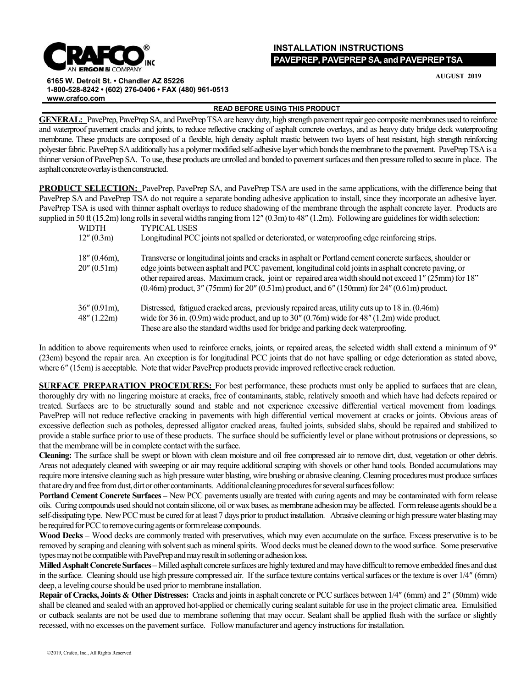

## **INSTALLATION INSTRUCTIONS PAVEPREP, PAVEPREPSA, and PAVEPREPTSA**

**AUGUST 2019**

**6165 W. Detroit St. • Chandler AZ 85226 1-800-528-8242 • (602) 276-0406 • FAX (480) 961-0513 [www.crafco.com](http://www.crafco.com/)**

## **READ BEFORE USING THIS PRODUCT**

GENERAL: PavePrep, PavePrep SA, and PavePrep TSA are heavy duty, high strength pavement repair geo composite membranes used to reinforce and waterproof pavement cracks and joints, to reduce reflective cracking of asphalt concrete overlays, and as heavy duty bridge deck waterproofing membrane. These products are composed of a flexible, high density asphalt mastic between two layers of heat resistant, high strength reinforcing polyester fabric. PavePrep SA additionally has a polymer modified self-adhesive layer which bonds the membrane to the pavement. PavePrep TSA is a thinner version of PavePrep SA. To use, these products are unrolled and bonded to pavementsurfaces and then pressure rolled to secure in place. The asphalt concrete overlay is then constructed.

**PRODUCT SELECTION:** PavePrep, PavePrep SA, and PavePrep TSA are used in the same applications, with the difference being that PavePrep SA and PavePrep TSA do not require a separate bonding adhesive application to install, since they incorporate an adhesive layer. PavePrep TSA is used with thinner asphalt overlays to reduce shadowing of the membrane through the asphalt concrete layer. Products are supplied in 50 ft (15.2m) long rolls in several widths ranging from 12" (0.3m) to 48" (1.2m). Following are guidelines for width selection:

| WIDTH                          | <b>TYPICAL USES</b>                                                                                                                                                                                                                                                                                                                                                                                                             |
|--------------------------------|---------------------------------------------------------------------------------------------------------------------------------------------------------------------------------------------------------------------------------------------------------------------------------------------------------------------------------------------------------------------------------------------------------------------------------|
| 12''(0.3m)                     | Longitudinal PCC joints not spalled or deteriorated, or waterproofing edge reinforcing strips.                                                                                                                                                                                                                                                                                                                                  |
| $18''(0.46m)$ ,<br>20''(0.51m) | Transverse or longitudinal joints and cracks in asphalt or Portland cement concrete surfaces, shoulder or<br>edge joints between asphalt and PCC pavement, longitudinal cold joints in asphalt concrete paving, or<br>other repaired areas. Maximum crack, joint or repaired area width should not exceed 1" (25mm) for 18"<br>$(0.46m)$ product, $3''$ (75mm) for 20" (0.51m) product, and 6" (150mm) for 24" (0.61m) product. |
| $36''(0.91m)$ ,<br>48" (1.22m) | Distressed, fatigued cracked areas, previously repaired areas, utility cuts up to 18 in. (0.46m)<br>wide for 36 in. $(0.9m)$ wide product, and up to 30" $(0.76m)$ wide for 48" $(1.2m)$ wide product.<br>These are also the standard widths used for bridge and parking deck waterproofing.                                                                                                                                    |

In addition to above requirements when used to reinforce cracks, joints, or repaired areas, the selected width shall extend a minimum of 9″ (23cm) beyond the repair area. An exception is for longitudinal PCC joints that do not have spalling or edge deterioration as stated above, where 6" (15cm) is acceptable. Note that wider PavePrep products provide improved reflective crack reduction.

**SURFACE PREPARATION PROCEDURES:** For best performance, these products must only be applied to surfaces that are clean, thoroughly dry with no lingering moisture at cracks, free of contaminants, stable, relatively smooth and which have had defects repaired or treated. Surfaces are to be structurally sound and stable and not experience excessive differential vertical movement from loadings. PavePrep will not reduce reflective cracking in pavements with high differential vertical movement at cracks or joints. Obvious areas of excessive deflection such as potholes, depressed alligator cracked areas, faulted joints, subsided slabs, should be repaired and stabilized to provide a stable surface prior to use of these products. The surface should be sufficiently level or plane without protrusions or depressions, so that the membrane will be in complete contact with the surface.

**Cleaning:** The surface shall be swept or blown with clean moisture and oil free compressed air to remove dirt, dust, vegetation or other debris. Areas not adequately cleaned with sweeping or air may require additional scraping with shovels or other hand tools. Bonded accumulations may require more intensive cleaning such as high pressure water blasting, wire brushing or abrasive cleaning. Cleaning procedures must produce surfaces that are dry and free from dust, dirt or other contaminants. Additional cleaning procedures for several surfaces follow:

**Portland Cement Concrete Surfaces –** New PCC pavements usually are treated with curing agents and may be contaminated with form release oils. Curing compounds used should not contain silicone, oil or wax bases, as membrane adhesionmay be affected. Formrelease agentsshould be a self-dissipating type. New PCC must be cured for at least 7 days prior to product installation. Abrasive cleaning or high pressure water blasting may be required for PCC to remove curing agents or form release compounds.

**Wood Decks –** Wood decks are commonly treated with preservatives, which may even accumulate on the surface. Excess preservative is to be removed by scraping and cleaning with solvent such as mineral spirits. Wood decks must be cleaned down to the wood surface. Some preservative types may not be compatible with PavePrep and may result in softening or adhesion loss.

**Milled Asphalt Concrete Surfaces** – Milled asphalt concrete surfaces are highly textured and may have difficult to remove embedded fines and dust in the surface. Cleaning should use high pressure compressed air. If the surface texture contains vertical surfaces or the texture is over  $1/4$ " (6mm) deep, a leveling course should be used prior to membrane installation.

**Repair of Cracks, Joints & Other Distresses:** Cracks and jointsin asphalt concrete or PCCsurfaces between 1/4″ (6mm) and 2″ (50mm) wide shall be cleaned and sealed with an approved hot-applied or chemically curing sealant suitable for use in the project climatic area. Emulsified or cutback sealants are not be used due to membrane softening that may occur. Sealant shall be applied flush with the surface or slightly recessed, with no excesses on the pavement surface. Follow manufacturer and agency instructions for installation.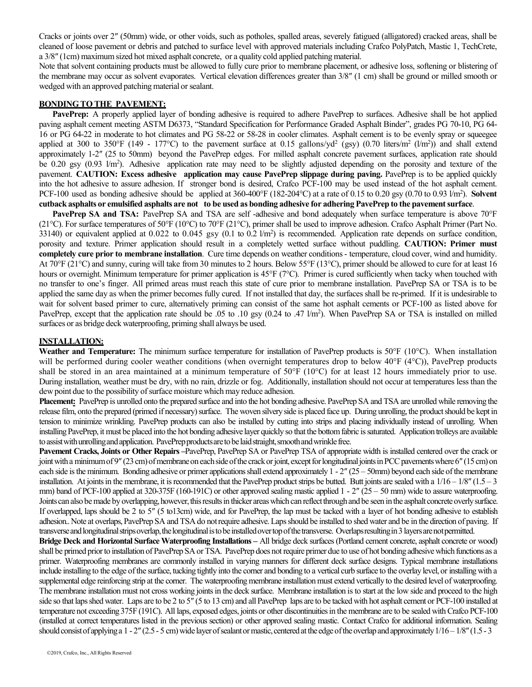Cracks or joints over 2″ (50mm) wide, or other voids, such as potholes, spalled areas, severely fatigued (alligatored) cracked areas, shall be cleaned of loose pavement or debris and patched to surface level with approved materials including Crafco PolyPatch, Mastic 1, TechCrete, a 3/8″ (1cm) maximumsized hot mixed asphalt concrete, or a quality cold applied patching material.

Note that solvent containing products must be allowed to fully cure prior to membrane placement, or adhesive loss, softening or blistering of the membrane may occur as solvent evaporates. Vertical elevation differences greater than 3/8″ (1 cm) shall be ground or milled smooth or wedged with an approved patching material or sealant.

## **BONDING TO THE PAVEMENT:**

**PavePrep:** A properly applied layer of bonding adhesive is required to adhere PavePrep to surfaces. Adhesive shall be hot applied paving asphalt cement meeting ASTM D6373, "Standard Specification for Performance Graded Asphalt Binder", grades PG 70-10, PG 64- 16 or PG 64-22 in moderate to hot climates and PG 58-22 or 58-28 in cooler climates. Asphalt cement is to be evenly spray or squeegee applied at 300 to 350°F (149 - 177°C) to the pavement surface at 0.15 gallons/yd<sup>2</sup> (gsy) (0.70 liters/m<sup>2</sup> (l/m<sup>2</sup>)) and shall extend approximately 1-2″ (25 to 50mm) beyond the PavePrep edges. For milled asphalt concrete pavement surfaces, application rate should be 0.20 gsy (0.93 l/m<sup>2</sup>). Adhesive application rate may need to be slightly adjusted depending on the porosity and texture of the pavement. **CAUTION: Excess adhesive application may cause PavePrep slippage during paving.** PavePrep is to be applied quickly into the hot adhesive to assure adhesion. If stronger bond is desired, Crafco PCF-100 may be used instead of the hot asphalt cement. PCF-100 used as bonding adhesive should be applied at 360-400°F (182-204°C) at a rate of 0.15 to 0.20 gsy (0.70 to 0.93 l/m<sup>2</sup>). Solvent cutback asphalts or emulsified asphalts are not to be used as bonding adhesive for adhering PavePrep to the pavement surface.

**PavePrep SA and TSA:** PavePrep SA and TSA are self -adhesive and bond adequately when surface temperature is above 70°F (21 $^{\circ}$ C). For surface temperatures of 50 $^{\circ}$ F (10 $^{\circ}$ C) to 70 $^{\circ}$ F (21 $^{\circ}$ C), primer shall be used to improve adhesion. Crafco Asphalt Primer (Part No. 33140) or equivalent applied at 0.022 to 0.045 gsy  $(0.1 \text{ to } 0.2 \text{ J/m}^2)$  is recommended. Application rate depends on surface condition, porosity and texture. Primer application should result in a completely wetted surface without puddling. **CAUTION: Primer must completely cure prior to membrane installation**. Cure time depends on weather conditions- temperature, cloud cover, wind and humidity. At 70°F (21°C) and sunny, curing will take from 30 minutes to 2 hours. Below 55°F (13°C), primer should be allowed to cure for at least 16 hours or overnight. Minimum temperature for primer application is 45°F (7°C). Primer is cured sufficiently when tacky when touched with no transfer to one's finger. All primed areas must reach this state of cure prior to membrane installation. PavePrep SA or TSA is to be applied the same day as when the primer becomes fully cured. If not installed that day, the surfaces shall be re-primed. If it is undesirable to wait for solvent based primer to cure, alternatively priming can consist of the same hot asphalt cements or PCF-100 as listed above for PavePrep, except that the application rate should be .05 to .10 gsy (0.24 to .47 l/m<sup>2</sup>). When PavePrep SA or TSA is installed on milled surfaces or as bridge deck waterproofing, priming shall always be used.

## **INSTALLATION:**

**Weather and Temperature:** The minimum surface temperature for installation of PavePrep products is 50°F (10°C). When installation will be performed during cooler weather conditions (when overnight temperatures drop to below 40 $\degree$ F (4 $\degree$ C)), PavePrep products shall be stored in an area maintained at a minimum temperature of  $50^{\circ}F (10^{\circ}C)$  for at least 12 hours immediately prior to use. During installation, weather must be dry, with no rain, drizzle or fog. Additionally, installation should not occur at temperatures less than the dew point due to the possibility of surface moisture which may reduce adhesion.

**Placement:** PavePrep is unrolled onto the prepared surface and into the hot bonding adhesive. PavePrep SA and TSA are unrolled while removing the release film, onto the prepared (primed if necessary) surface. The woven silvery side is placed face up. During unrolling, the product should be kept in tension to minimize wrinkling. PavePrep products can also be installed by cutting into strips and placing individually instead of unrolling. When installing PavePrep, it must be placed into the hot bonding adhesive layer quickly so that the bottom fabric is saturated. Application trolleys are available to assist with unrolling and application. PavePrep products are to be laid straight, smooth and wrinkle free.

**Pavement Cracks, Joints or Other Repairs –**PavePrep, PavePrep SA or PavePrep TSA of appropriate width is installed centered over the crack or joint with a minimum of 9″ (23 cm) of membrane on each side of the crack or joint, except for longitudinal joints in PCC pavements where 6″ (15 cm) on each side is the minimum. Bonding adhesive or primer applications shall extend approximately  $1 - 2'' (25 - 50$ mm) beyond each side of the membrane installation. At joints in the membrane, it is recommended that the PavePrep product strips be butted. Butt joints are sealed with a  $1/16 - 1/8$ <sup>n</sup> (1.5 – 3) mm) band of PCF-100 applied at 320-375F (160-191C) or other approved sealing mastic applied 1 - 2" (25 – 50 mm) wide to assure waterproofing. Joints can also be made by overlapping, however, this results in thicker areas which can reflect through and be seen in the asphalt concrete overly surface. If overlapped, laps should be 2 to 5″ (5 to13cm) wide, and for PavePrep, the lap must be tacked with a layer of hot bonding adhesive to establish adhesion.. Note at overlaps, PavePrep SA and TSA do not require adhesive. Laps should be installed to shed water and be in the direction of paving. If transverse and longitudinal strips overlap, the longitudinal is to be installed over top of the transverse. Overlaps resulting in 3 layers are not permitted.

**Bridge Deck and Horizontal Surface Waterproofing Installations –** All bridge deck surfaces(Portland cement concrete, asphalt concrete or wood) shall be primed prior to installation of PavePrep SA or TSA. PavePrep does not require primer due to use of hot bonding adhesive which functions as a primer. Waterproofing membranes are commonly installed in varying manners for different deck surface designs. Typical membrane installations include installing to the edge ofthe surface, tucking tightly into the corner and bonding to a vertical curb surface to the overlay level, or installing with a supplemental edge reinforcing strip at the corner. The waterproofing membrane installation must extend vertically to the desired level of waterproofing. The membrane installation must not cross working joints in the deck surface. Membrane installation is to start at the low side and proceed to the high side so that laps shed water. Laps are to be 2 to 5" (5 to 13 cm) and all PavePrep laps are to be tacked with hot asphalt cement or PCF-100 installed at temperature not exceeding 375F (191C). All laps, exposed edges, joints or other discontinuities in the membrane are to be sealed with Crafco PCF-100 (installed at correct temperatures listed in the previous section) or other approved sealing mastic. Contact Crafco for additional information. Sealing should consist of applying a  $1 - 2$ " (2.5 - 5 cm) wide layer of sealant or mastic, centered at the edge of the overlap and approximately  $1/16 - 1/8$ " (1.5 - 3